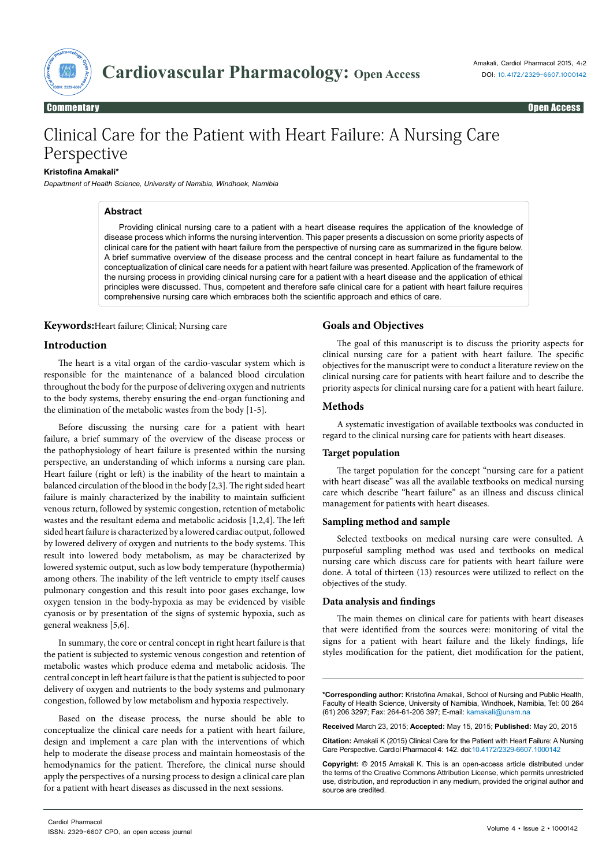

Open Access Commentary Open Access

# Clinical Care for the Patient with Heart Failure: A Nursing Care Perspective

### **Kristofina Amakali\***

*Department of Health Science, University of Namibia, Windhoek, Namibia*

#### **Abstract**

Providing clinical nursing care to a patient with a heart disease requires the application of the knowledge of disease process which informs the nursing intervention. This paper presents a discussion on some priority aspects of clinical care for the patient with heart failure from the perspective of nursing care as summarized in the figure below. A brief summative overview of the disease process and the central concept in heart failure as fundamental to the conceptualization of clinical care needs for a patient with heart failure was presented. Application of the framework of the nursing process in providing clinical nursing care for a patient with a heart disease and the application of ethical principles were discussed. Thus, competent and therefore safe clinical care for a patient with heart failure requires comprehensive nursing care which embraces both the scientific approach and ethics of care.

**Keywords:**Heart failure; Clinical; Nursing care

# **Introduction**

The heart is a vital organ of the cardio-vascular system which is responsible for the maintenance of a balanced blood circulation throughout the body for the purpose of delivering oxygen and nutrients to the body systems, thereby ensuring the end-organ functioning and the elimination of the metabolic wastes from the body [1-5].

Before discussing the nursing care for a patient with heart failure, a brief summary of the overview of the disease process or the pathophysiology of heart failure is presented within the nursing perspective, an understanding of which informs a nursing care plan. Heart failure (right or left) is the inability of the heart to maintain a balanced circulation of the blood in the body [2,3]. The right sided heart failure is mainly characterized by the inability to maintain sufficient venous return, followed by systemic congestion, retention of metabolic wastes and the resultant edema and metabolic acidosis [1,2,4]. The left sided heart failure is characterized by a lowered cardiac output, followed by lowered delivery of oxygen and nutrients to the body systems. This result into lowered body metabolism, as may be characterized by lowered systemic output, such as low body temperature (hypothermia) among others. The inability of the left ventricle to empty itself causes pulmonary congestion and this result into poor gases exchange, low oxygen tension in the body-hypoxia as may be evidenced by visible cyanosis or by presentation of the signs of systemic hypoxia, such as general weakness [5,6].

In summary, the core or central concept in right heart failure is that the patient is subjected to systemic venous congestion and retention of metabolic wastes which produce edema and metabolic acidosis. The central concept in left heart failure is that the patient is subjected to poor delivery of oxygen and nutrients to the body systems and pulmonary congestion, followed by low metabolism and hypoxia respectively.

Based on the disease process, the nurse should be able to conceptualize the clinical care needs for a patient with heart failure, design and implement a care plan with the interventions of which help to moderate the disease process and maintain homeostasis of the hemodynamics for the patient. Therefore, the clinical nurse should apply the perspectives of a nursing process to design a clinical care plan for a patient with heart diseases as discussed in the next sessions.

### **Goals and Objectives**

The goal of this manuscript is to discuss the priority aspects for clinical nursing care for a patient with heart failure. The specific objectives for the manuscript were to conduct a literature review on the clinical nursing care for patients with heart failure and to describe the priority aspects for clinical nursing care for a patient with heart failure.

#### **Methods**

A systematic investigation of available textbooks was conducted in regard to the clinical nursing care for patients with heart diseases.

#### **Target population**

The target population for the concept "nursing care for a patient with heart disease" was all the available textbooks on medical nursing care which describe "heart failure" as an illness and discuss clinical management for patients with heart diseases.

### **Sampling method and sample**

Selected textbooks on medical nursing care were consulted. A purposeful sampling method was used and textbooks on medical nursing care which discuss care for patients with heart failure were done. A total of thirteen (13) resources were utilized to reflect on the objectives of the study.

#### **Data analysis and findings**

The main themes on clinical care for patients with heart diseases that were identified from the sources were: monitoring of vital the signs for a patient with heart failure and the likely findings, life styles modification for the patient, diet modification for the patient,

**\*Corresponding author:** Kristofina Amakali, School of Nursing and Public Health, Faculty of Health Science, University of Namibia, Windhoek, Namibia, Tel: 00 264 (61) 206 3297; Fax: 264-61-206 397; E-mail: kamakali@unam.na

**Received** March 23, 2015; **Accepted:** May 15, 2015; **Published:** May 20, 2015

**Citation:** Amakali K (2015) Clinical Care for the Patient with Heart Failure: A Nursing Care Perspective. Cardiol Pharmacol 4: 142. doi:10.4172/2329-6607.1000142

**Copyright:** © 2015 Amakali K. This is an open-access article distributed under the terms of the Creative Commons Attribution License, which permits unrestricted use, distribution, and reproduction in any medium, provided the original author and source are credited.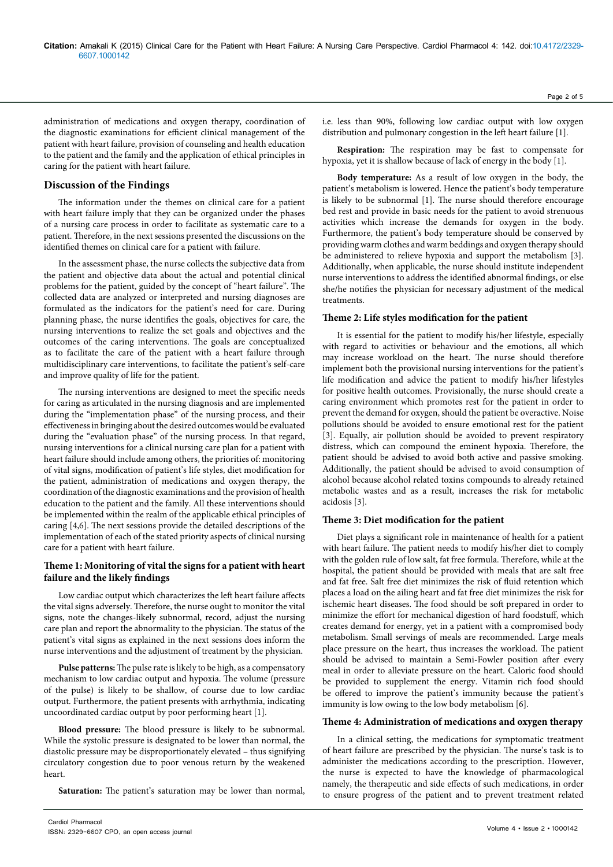administration of medications and oxygen therapy, coordination of the diagnostic examinations for efficient clinical management of the patient with heart failure, provision of counseling and health education to the patient and the family and the application of ethical principles in caring for the patient with heart failure.

# **Discussion of the Findings**

The information under the themes on clinical care for a patient with heart failure imply that they can be organized under the phases of a nursing care process in order to facilitate as systematic care to a patient. Therefore, in the next sessions presented the discussions on the identified themes on clinical care for a patient with failure.

In the assessment phase, the nurse collects the subjective data from the patient and objective data about the actual and potential clinical problems for the patient, guided by the concept of "heart failure". The collected data are analyzed or interpreted and nursing diagnoses are formulated as the indicators for the patient's need for care. During planning phase, the nurse identifies the goals, objectives for care, the nursing interventions to realize the set goals and objectives and the outcomes of the caring interventions. The goals are conceptualized as to facilitate the care of the patient with a heart failure through multidisciplinary care interventions, to facilitate the patient's self-care and improve quality of life for the patient.

The nursing interventions are designed to meet the specific needs for caring as articulated in the nursing diagnosis and are implemented during the "implementation phase" of the nursing process, and their effectiveness in bringing about the desired outcomes would be evaluated during the "evaluation phase" of the nursing process. In that regard, nursing interventions for a clinical nursing care plan for a patient with heart failure should include among others, the priorities of: monitoring of vital signs, modification of patient's life styles, diet modification for the patient, administration of medications and oxygen therapy, the coordination of the diagnostic examinations and the provision of health education to the patient and the family. All these interventions should be implemented within the realm of the applicable ethical principles of caring [4,6]. The next sessions provide the detailed descriptions of the implementation of each of the stated priority aspects of clinical nursing care for a patient with heart failure.

### **Theme 1: Monitoring of vital the signs for a patient with heart failure and the likely findings**

Low cardiac output which characterizes the left heart failure affects the vital signs adversely. Therefore, the nurse ought to monitor the vital signs, note the changes-likely subnormal, record, adjust the nursing care plan and report the abnormality to the physician. The status of the patient's vital signs as explained in the next sessions does inform the nurse interventions and the adjustment of treatment by the physician.

**Pulse patterns:** The pulse rate is likely to be high, as a compensatory mechanism to low cardiac output and hypoxia. The volume (pressure of the pulse) is likely to be shallow, of course due to low cardiac output. Furthermore, the patient presents with arrhythmia, indicating uncoordinated cardiac output by poor performing heart [1].

**Blood pressure:** The blood pressure is likely to be subnormal. While the systolic pressure is designated to be lower than normal, the diastolic pressure may be disproportionately elevated – thus signifying circulatory congestion due to poor venous return by the weakened heart.

**Saturation:** The patient's saturation may be lower than normal,

i.e. less than 90%, following low cardiac output with low oxygen distribution and pulmonary congestion in the left heart failure [1].

**Respiration:** The respiration may be fast to compensate for hypoxia, yet it is shallow because of lack of energy in the body [1].

**Body temperature:** As a result of low oxygen in the body, the patient's metabolism is lowered. Hence the patient's body temperature is likely to be subnormal [1]. The nurse should therefore encourage bed rest and provide in basic needs for the patient to avoid strenuous activities which increase the demands for oxygen in the body. Furthermore, the patient's body temperature should be conserved by providing warm clothes and warm beddings and oxygen therapy should be administered to relieve hypoxia and support the metabolism [3]. Additionally, when applicable, the nurse should institute independent nurse interventions to address the identified abnormal findings, or else she/he notifies the physician for necessary adjustment of the medical treatments.

### **Theme 2: Life styles modification for the patient**

It is essential for the patient to modify his/her lifestyle, especially with regard to activities or behaviour and the emotions, all which may increase workload on the heart. The nurse should therefore implement both the provisional nursing interventions for the patient's life modification and advice the patient to modify his/her lifestyles for positive health outcomes. Provisionally, the nurse should create a caring environment which promotes rest for the patient in order to prevent the demand for oxygen, should the patient be overactive. Noise pollutions should be avoided to ensure emotional rest for the patient [3]. Equally, air pollution should be avoided to prevent respiratory distress, which can compound the eminent hypoxia. Therefore, the patient should be advised to avoid both active and passive smoking. Additionally, the patient should be advised to avoid consumption of alcohol because alcohol related toxins compounds to already retained metabolic wastes and as a result, increases the risk for metabolic acidosis [3].

### **Theme 3: Diet modification for the patient**

Diet plays a significant role in maintenance of health for a patient with heart failure. The patient needs to modify his/her diet to comply with the golden rule of low salt, fat free formula. Therefore, while at the hospital, the patient should be provided with meals that are salt free and fat free. Salt free diet minimizes the risk of fluid retention which places a load on the ailing heart and fat free diet minimizes the risk for ischemic heart diseases. The food should be soft prepared in order to minimize the effort for mechanical digestion of hard foodstuff, which creates demand for energy, yet in a patient with a compromised body metabolism. Small servings of meals are recommended. Large meals place pressure on the heart, thus increases the workload. The patient should be advised to maintain a Semi-Fowler position after every meal in order to alleviate pressure on the heart. Caloric food should be provided to supplement the energy. Vitamin rich food should be offered to improve the patient's immunity because the patient's immunity is low owing to the low body metabolism [6].

#### **Theme 4: Administration of medications and oxygen therapy**

In a clinical setting, the medications for symptomatic treatment of heart failure are prescribed by the physician. The nurse's task is to administer the medications according to the prescription. However, the nurse is expected to have the knowledge of pharmacological namely, the therapeutic and side effects of such medications, in order to ensure progress of the patient and to prevent treatment related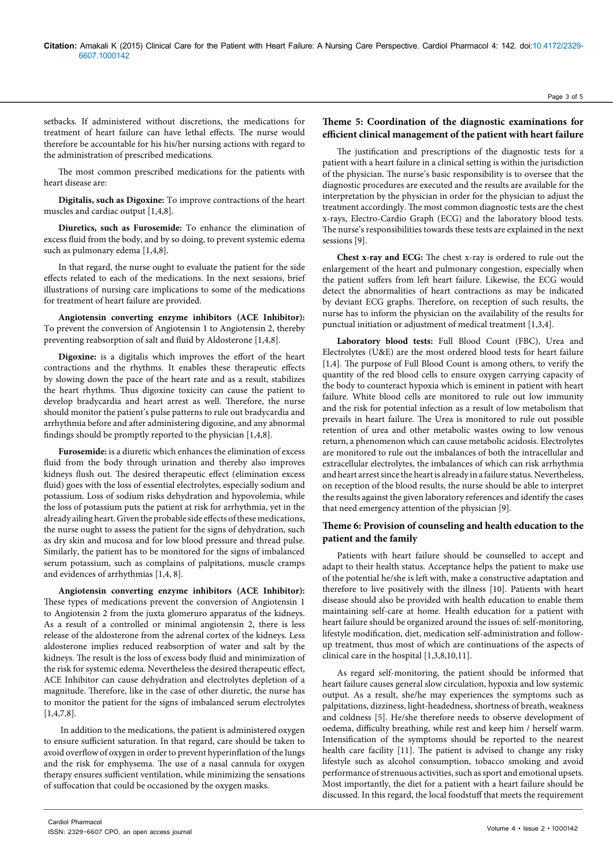setbacks. If administered without discretions, the medications for treatment of heart failure can have lethal effects. The nurse would therefore be accountable for his his/her nursing actions with regard to the administration of prescribed medications.

The most common prescribed medications for the patients with heart disease are:

**Digitalis, such as Digoxine:** To improve contractions of the heart muscles and cardiac output [1,4,8].

**Diuretics, such as Furosemide:** To enhance the elimination of excess fluid from the body, and by so doing, to prevent systemic edema such as pulmonary edema [1,4,8].

In that regard, the nurse ought to evaluate the patient for the side effects related to each of the medications. In the next sessions, brief illustrations of nursing care implications to some of the medications for treatment of heart failure are provided.

**Angiotensin converting enzyme inhibitors (ACE Inhibitor):** To prevent the conversion of Angiotensin 1 to Angiotensin 2, thereby preventing reabsorption of salt and fluid by Aldosterone [1,4,8].

**Digoxine:** is a digitalis which improves the effort of the heart contractions and the rhythms. It enables these therapeutic effects by slowing down the pace of the heart rate and as a result, stabilizes the heart rhythms. Thus digoxine toxicity can cause the patient to develop bradycardia and heart arrest as well. Therefore, the nurse should monitor the patient's pulse patterns to rule out bradycardia and arrhythmia before and after administering digoxine, and any abnormal findings should be promptly reported to the physician [1,4,8].

**Furosemide:** is a diuretic which enhances the elimination of excess fluid from the body through urination and thereby also improves kidneys flush out. The desired therapeutic effect (elimination excess fluid) goes with the loss of essential electrolytes, especially sodium and potassium. Loss of sodium risks dehydration and hypovolemia, while the loss of potassium puts the patient at risk for arrhythmia, yet in the already ailing heart. Given the probable side effects of these medications, the nurse ought to assess the patient for the signs of dehydration, such as dry skin and mucosa and for low blood pressure and thread pulse. Similarly, the patient has to be monitored for the signs of imbalanced serum potassium, such as complains of palpitations, muscle cramps and evidences of arrhythmias [1,4, 8].

**Angiotensin converting enzyme inhibitors (ACE Inhibitor):** These types of medications prevent the conversion of Angiotensin 1 to Angiotensin 2 from the juxta glomeruro apparatus of the kidneys. As a result of a controlled or minimal angiotensin 2, there is less release of the aldosterone from the adrenal cortex of the kidneys. Less aldosterone implies reduced reabsorption of water and salt by the kidneys. The result is the loss of excess body fluid and minimization of the risk for systemic edema. Nevertheless the desired therapeutic effect, ACE Inhibitor can cause dehydration and electrolytes depletion of a magnitude. Therefore, like in the case of other diuretic, the nurse has to monitor the patient for the signs of imbalanced serum electrolytes [1,4,7,8].

 In addition to the medications, the patient is administered oxygen to ensure sufficient saturation. In that regard, care should be taken to avoid overflow of oxygen in order to prevent hyperinflation of the lungs and the risk for emphysema. The use of a nasal cannula for oxygen therapy ensures sufficient ventilation, while minimizing the sensations of suffocation that could be occasioned by the oxygen masks.

# **Theme 5: Coordination of the diagnostic examinations for efficient clinical management of the patient with heart failure**

The justification and prescriptions of the diagnostic tests for a patient with a heart failure in a clinical setting is within the jurisdiction of the physician. The nurse's basic responsibility is to oversee that the diagnostic procedures are executed and the results are available for the interpretation by the physician in order for the physician to adjust the treatment accordingly. The most common diagnostic tests are the chest x-rays, Electro-Cardio Graph (ECG) and the laboratory blood tests. The nurse's responsibilities towards these tests are explained in the next sessions [9].

**Chest x-ray and ECG:** The chest x-ray is ordered to rule out the enlargement of the heart and pulmonary congestion, especially when the patient suffers from left heart failure. Likewise, the ECG would detect the abnormalities of heart contractions as may be indicated by deviant ECG graphs. Therefore, on reception of such results, the nurse has to inform the physician on the availability of the results for punctual initiation or adjustment of medical treatment [1,3,4].

**Laboratory blood tests:** Full Blood Count (FBC), Urea and Electrolytes (U&E) are the most ordered blood tests for heart failure [1,4]. The purpose of Full Blood Count is among others, to verify the quantity of the red blood cells to ensure oxygen carrying capacity of the body to counteract hypoxia which is eminent in patient with heart failure. White blood cells are monitored to rule out low immunity and the risk for potential infection as a result of low metabolism that prevails in heart failure. The Urea is monitored to rule out possible retention of urea and other metabolic wastes owing to low venous return, a phenomenon which can cause metabolic acidosis. Electrolytes are monitored to rule out the imbalances of both the intracellular and extracellular electrolytes, the imbalances of which can risk arrhythmia and heart arrest since the heart is already in a failure status. Nevertheless, on reception of the blood results, the nurse should be able to interpret the results against the given laboratory references and identify the cases that need emergency attention of the physician [9].

# **Theme 6: Provision of counseling and health education to the patient and the family**

Patients with heart failure should be counselled to accept and adapt to their health status. Acceptance helps the patient to make use of the potential he/she is left with, make a constructive adaptation and therefore to live positively with the illness [10]. Patients with heart disease should also be provided with health education to enable them maintaining self-care at home. Health education for a patient with heart failure should be organized around the issues of: self-monitoring, lifestyle modification, diet, medication self-administration and followup treatment, thus most of which are continuations of the aspects of clinical care in the hospital [1,3,8,10,11].

As regard self-monitoring, the patient should be informed that heart failure causes general slow circulation, hypoxia and low systemic output. As a result, she/he may experiences the symptoms such as palpitations, dizziness, light-headedness, shortness of breath, weakness and coldness [5]. He/she therefore needs to observe development of oedema, difficulty breathing, while rest and keep him / herself warm. Intensification of the symptoms should be reported to the nearest health care facility [11]. The patient is advised to change any risky lifestyle such as alcohol consumption, tobacco smoking and avoid performance of strenuous activities, such as sport and emotional upsets. Most importantly, the diet for a patient with a heart failure should be discussed. In this regard, the local foodstuff that meets the requirement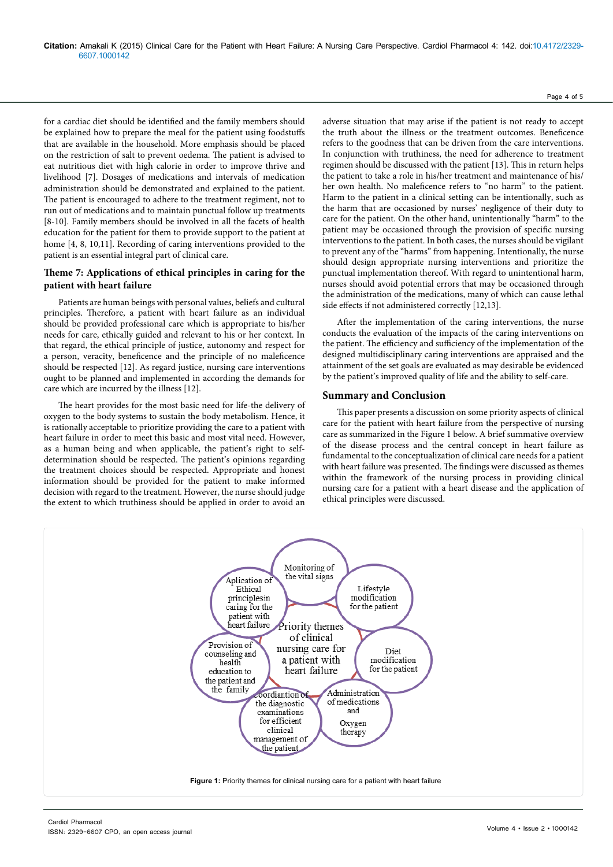for a cardiac diet should be identified and the family members should be explained how to prepare the meal for the patient using foodstuffs that are available in the household. More emphasis should be placed on the restriction of salt to prevent oedema. The patient is advised to eat nutritious diet with high calorie in order to improve thrive and livelihood [7]. Dosages of medications and intervals of medication administration should be demonstrated and explained to the patient. The patient is encouraged to adhere to the treatment regiment, not to run out of medications and to maintain punctual follow up treatments [8-10]. Family members should be involved in all the facets of health education for the patient for them to provide support to the patient at home [4, 8, 10,11]. Recording of caring interventions provided to the patient is an essential integral part of clinical care.

### **Theme 7: Applications of ethical principles in caring for the patient with heart failure**

Patients are human beings with personal values, beliefs and cultural principles. Therefore, a patient with heart failure as an individual should be provided professional care which is appropriate to his/her needs for care, ethically guided and relevant to his or her context. In that regard, the ethical principle of justice, autonomy and respect for a person, veracity, beneficence and the principle of no maleficence should be respected [12]. As regard justice, nursing care interventions ought to be planned and implemented in according the demands for care which are incurred by the illness [12].

The heart provides for the most basic need for life-the delivery of oxygen to the body systems to sustain the body metabolism. Hence, it is rationally acceptable to prioritize providing the care to a patient with heart failure in order to meet this basic and most vital need. However, as a human being and when applicable, the patient's right to selfdetermination should be respected. The patient's opinions regarding the treatment choices should be respected. Appropriate and honest information should be provided for the patient to make informed decision with regard to the treatment. However, the nurse should judge the extent to which truthiness should be applied in order to avoid an

adverse situation that may arise if the patient is not ready to accept the truth about the illness or the treatment outcomes. Beneficence refers to the goodness that can be driven from the care interventions. In conjunction with truthiness, the need for adherence to treatment regimen should be discussed with the patient [13]. This in return helps the patient to take a role in his/her treatment and maintenance of his/ her own health. No maleficence refers to "no harm" to the patient. Harm to the patient in a clinical setting can be intentionally, such as the harm that are occasioned by nurses' negligence of their duty to care for the patient. On the other hand, unintentionally "harm" to the patient may be occasioned through the provision of specific nursing interventions to the patient. In both cases, the nurses should be vigilant to prevent any of the "harms" from happening. Intentionally, the nurse should design appropriate nursing interventions and prioritize the punctual implementation thereof. With regard to unintentional harm, nurses should avoid potential errors that may be occasioned through the administration of the medications, many of which can cause lethal side effects if not administered correctly [12,13].

After the implementation of the caring interventions, the nurse conducts the evaluation of the impacts of the caring interventions on the patient. The efficiency and sufficiency of the implementation of the designed multidisciplinary caring interventions are appraised and the attainment of the set goals are evaluated as may desirable be evidenced by the patient's improved quality of life and the ability to self-care.

# **Summary and Conclusion**

This paper presents a discussion on some priority aspects of clinical care for the patient with heart failure from the perspective of nursing care as summarized in the Figure 1 below. A brief summative overview of the disease process and the central concept in heart failure as fundamental to the conceptualization of clinical care needs for a patient with heart failure was presented. The findings were discussed as themes within the framework of the nursing process in providing clinical nursing care for a patient with a heart disease and the application of ethical principles were discussed.



Page 4 of 5